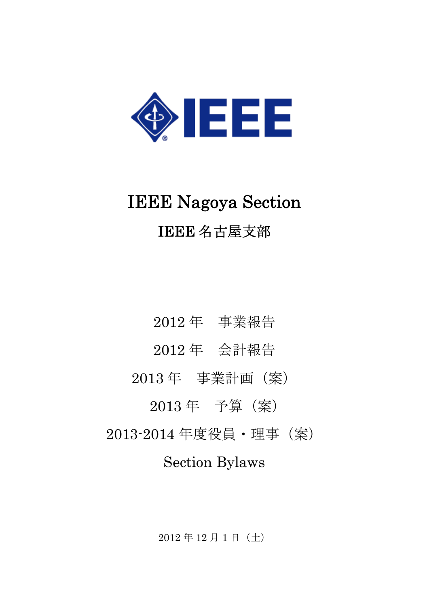

# IEEE Nagoya Section IEEE 名古屋支部

2012 年 事業報告 2012 年 会計報告 2013 年 事業計画(案) 2013 年 予算(案) 2013-2014 年度役員・理事(案) Section Bylaws

2012 年 12 月 1 日(土)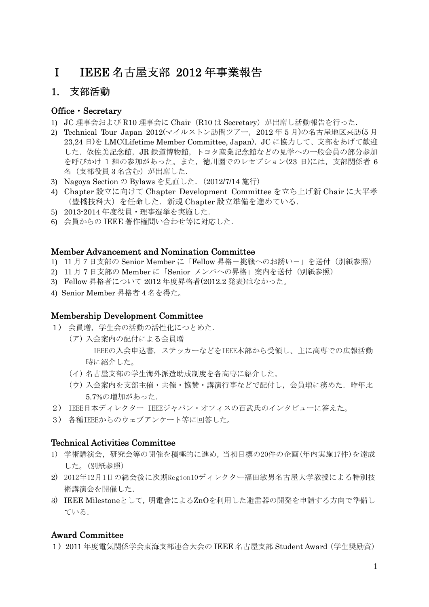# Ⅰ IEEE 名古屋支部 2012 年事業報告

# 1. 支部活動

#### Office・Secretary

- 1) JC 理事会および R10 理事会に Chair(R10 は Secretary)が出席し活動報告を行った.
- 2) Technical Tour Japan 2012(マイルストン訪問ツアー,2012 年 5 月)の名古屋地区来訪(5 月 23,24 日)を LMC(Lifetime Member Committee, Japan), JC に協力して、支部をあげて歓迎 した. 依佐美記念館, JR 鉄道博物館, トヨタ産業記念館などの見学への一般会員の部分参加 を呼びかけ 1 組の参加があった。また、徳川園でのレセプション(23日)には、支部関係者 6 名(支部役員3名含む)が出席した.
- 3) Nagoya Section の Bylaws を見直した.(2012/7/14 施行)
- 4) Chapter 設立に向けて Chapter Development Committee を立ち上げ新 Chair に大平孝 (豊橋技科大)を任命した.新規 Chapter 設立準備を進めている.
- 5) 2013-2014 年度役員・理事選挙を実施した.
- 6) 会員からの IEEE 著作権問い合わせ等に対応した.

#### Member Advancement and Nomination Committee

- 1) 11 月7日支部の Senior Member に「Fellow 昇格-挑戦へのお誘い-」を送付(別紙参照)
- 2) 11 月 7 日支部の Member に「Senior メンバへの昇格」案内を送付(別紙参照)
- 3) Fellow 昇格者について 2012 年度昇格者(2012.2 発表)はなかった。
- 4) Senior Member 昇格者 4 名を得た。

#### Membership Development Committee

- 1) 会員増, 学生会の活動の活性化につとめた.
	- (ア) 入会案内の配付による会員増 IEEEの入会申込書,ステッカーなどをIEEE本部から受領し、主に高専での広報活動 時に紹介した。
		- (イ) 名古屋支部の学生海外派遣助成制度を各高専に紹介した。
		- (ウ) 入会案内を支部主催・共催・協賛・講演行事などで配付し、会員増に務めた. 昨年比 5.7%の増加があった.
- 2) IEEE日本ディレクター IEEEジャパン・オフィスの百武氏のインタビューに答えた。
- 3) 各種IEEEからのウェブアンケート等に回答した。

#### Technical Activities Committee

- 1) 学術講演会,研究会等の開催を積極的に進め,当初目標の20件の企画(年内実施17件)を達成 した。(別紙参照)
- 2) 2012年12月1日の総会後に次期Region10ディレクター福田敏男名古屋大学教授による特別技 術講演会を開催した.
- 3) IEEE Milestoneとして,明電舎によるZnOを利用した避雷器の開発を申請する方向で準備し ている.

#### Award Committee

1) 2011 年度電気関係学会東海支部連合大会の IEEE 名古屋支部 Student Award(学生奨励賞)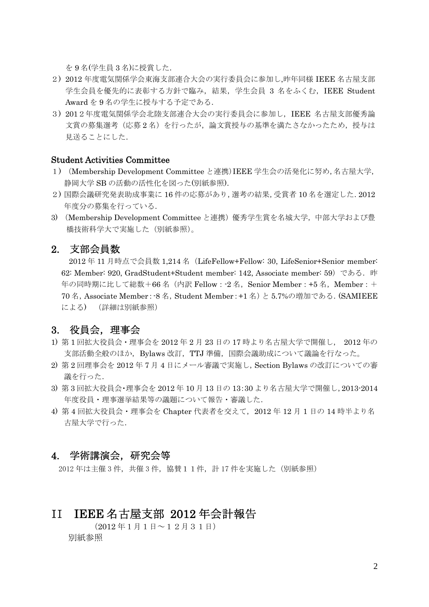を 9 名(学生員 3 名)に授賞した.

- 2) 2012 年度電気関係学会東海支部連合大会の実行委員会に参加し,昨年同様 IEEE 名古屋支部 学生会員を優先的に表彰する方針で臨み,結果,学生会員 3 名をふくむ, IEEE Student Award を 9 名の学生に授与する予定である.
- 3) 2012年度電気関係学会北陸支部連合大会の実行委員会に参加し,IEEE 名古屋支部優秀論 文賞の募集選考(応募2名)を行ったが、論文賞授与の基準を満たさなかったため、授与は 見送ることにした.

#### Student Activities Committee

- 1) (Membership Development Committee と連携)IEEE 学生会の活発化に努め,名古屋大学, 静岡大学 SB の活動の活性化を図った(別紙参照).
- 2) 国際会議研究発表助成事業に 16 件の応募があり,選考の結果,受賞者 10 名を選定した.2012 年度分の募集を行っている.
- 3) (Membership Development Committee と連携)優秀学生賞を名城大学,中部大学および豊 橋技術科学大で実施した(別紙参照)。

#### 2. 支部会員数

2012 年 11 月時点で会員数 1,214 名(LifeFellow+Fellow: 30, LifeSenior+Senior member: 62: Member: 920, GradStudent+Student member: 142, Associate member: 59) である. 昨 年の同時期に比して総数+66名 (内訳 Fellow: -2名, Senior Member: +5名, Member: + 70 名,Associate Member:-8 名,Student Member:+1 名)と 5.7%の増加である.(SAMIEEE による) (詳細は別紙参照)

#### 3. 役員会,理事会

- 1) 第 1 回拡大役員会・理事会を 2012 年 2 月 23 日の 17 時より名古屋大学で開催し, 2012 年の 支部活動全般のほか,Bylaws 改訂,TTJ 準備,国際会議助成について議論を行なった。
- 2) 第 2 回理事会を 2012 年 7 月 4 日にメール審議で実施し,Section Bylaws の改訂についての審 議を行った.
- 3) 第 3 回拡大役員会・理事会を 2012 年 10 月 13 日の 13:30 より名古屋大学で開催し,2013-2014 年度役員・理事選挙結果等の議題について報告・審議した.
- 4) 第 4 回拡大役員会・理事会を Chapter 代表者を交えて,2012 年 12 月 1 日の 14 時半より名 古屋大学で行った.

#### 4. 学術講演会,研究会等

2012年は主催 3件,共催 3件,協賛11件,計17件を実施した(別紙参照)

## II IEEE 名古屋支部 2012 年会計報告

(2012 年1月1日~12月31日) 別紙参照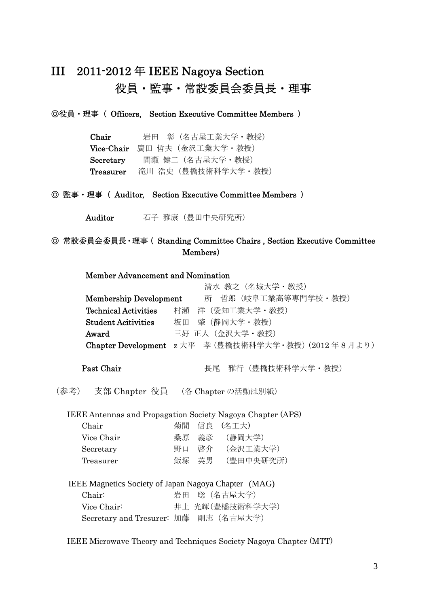# III 2011-2012 年 IEEE Nagoya Section 役員・監事・常設委員会委員長・理事

◎役員・理事( Officers, Section Executive Committee Members )

| Chair      | 岩田 彰 (名古屋工業大学・教授)   |
|------------|---------------------|
| Vice-Chair | 廣田 哲夫(金沢工業大学・教授)    |
| Secretary  | 間瀬 健二(名古屋大学・教授)     |
| Treasurer  | 滝川 浩史 (豊橋技術科学大学・教授) |

◎ 監事・理事( Auditor, Section Executive Committee Members )

Auditor 石子雅康(豊田中央研究所)

#### ◎ 常設委員会委員長・理事( Standing Committee Chairs , Section Executive Committee Members)

#### Member Advancement and Nomination

|                               | 清水 教之(名城大学・教授)                                       |
|-------------------------------|------------------------------------------------------|
| <b>Membership Development</b> | 哲郎 (岐阜工業高等専門学校・教授)<br>所                              |
| <b>Technical Activities</b>   | 洋 (愛知工業大学·教授)<br>村瀬                                  |
| <b>Student Acitivities</b>    | 肇 (静岡大学・教授)<br>坂田                                    |
| Award                         | 三好 正人 (金沢大学·教授)                                      |
|                               | Chapter Development z 大平 孝 (豊橋技術科学大学・教授) (2012年8月より) |
|                               |                                                      |

Past Chair **Euman Beaution** 長尾 雅行(豊橋技術科学大学·教授)

(参考) 支部 Chapter 役員 (各 Chapter の活動は別紙)

IEEE Antennas and Propagation Society Nagoya Chapter (APS)

| Chair      |    |       | 菊間 信良 (名工大) |
|------------|----|-------|-------------|
| Vice Chair | 桑原 |       | 義彦 (静岡大学)   |
| Secretary  | 野口 | 啓介    | (金沢工業大学)    |
| Treasurer  |    | 飯塚 英男 | (豊田中央研究所)   |

IEEE Magnetics Society of Japan Nagoya Chapter (MAG) Chair: 岩田 聡 (名古屋大学)

Vice Chair: 井上 光輝(豊橋技術科学大学)

Secretary and Tresurer: 加藤 剛志(名古屋大学)

IEEE Microwave Theory and Techniques Society Nagoya Chapter (MTT)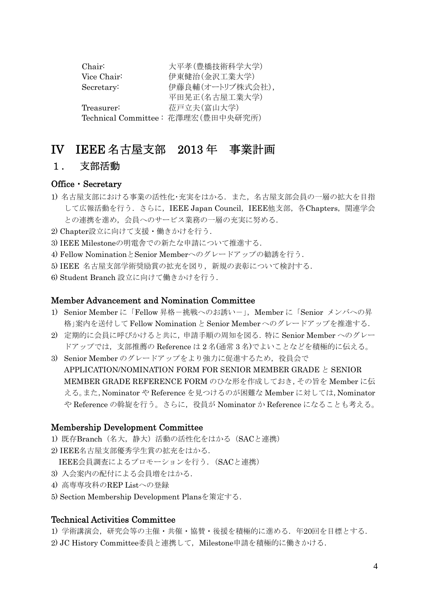| Chair:      | 大平孝(豊橋技術科学大学)                      |
|-------------|------------------------------------|
| Vice Chair: | 伊東健治(金沢工業大学)                       |
| Secretary:  | 伊藤良輔(オートリブ株式会社),                   |
|             | 平田晃正(名古屋工業大学)                      |
| Treasurer:  | 莅戸立夫(富山大学)                         |
|             | Technical Committee: 花澤理宏(豊田中央研究所) |

# IV IEEE 名古屋支部 2013 年 事業計画

#### 1. 支部活動

#### Office・Secretary

- 1) 名古屋支部における事業の活性化・充実をはかる.また,名古屋支部会員の一層の拡大を目指 して広報活動を行う. さらに, IEEE Japan Council, IEEE他支部, 各Chapters, 関連学会 との連携を進め、会員へのサービス業務の一層の充実に努める.
- 2) Chapter設立に向けて支援・働きかけを行う.
- 3) IEEE Milestoneの明電舎での新たな申請について推進する.
- 4) Fellow NominationとSenior Memberへのグレードアップの勧誘を行う.
- 5) IEEE 名古屋支部学術奨励賞の拡充を図り,新規の表彰について検討する.
- 6) Student Branch 設立に向けて働きかけを行う.

#### Member Advancement and Nomination Committee

- 1) Senior Member に「Fellow 昇格-挑戦へのお誘いー」, Member に「Senior メンバへの昇 格」案内を送付して Fellow Nominationと Senior Memberへのグレードアップを推進する.
- 2) 定期的に会員に呼びかけると共に,申請手順の周知を図る.特に Senior Member へのグレー ドアップでは,支部推薦の Reference は 2 名(通常 3 名)でよいことなどを積極的に伝える。
- 3) Senior Member のグレードアップをより強力に促進するため、役員会で APPLICATION/NOMINATION FORM FOR SENIOR MEMBER GRADE と SENIOR MEMBER GRADE REFERENCE FORM のひな形を作成しておき,その旨を Member に伝 える。また,Nominator や Reference を見つけるのが困難な Member に対しては,Nominator や Reference の斡旋を行う。さらに、役員が Nominator か Reference になることも考える。

#### Membership Development Committee

- 1) 既存Branch(名大,静大)活動の活性化をはかる(SACと連携)
- 2) IEEE名古屋支部優秀学生賞の拡充をはかる.
	- IEEE会員調査によるプロモーションを行う.(SACと連携)
- 3) 入会案内の配付による会員増をはかる.
- 4) 高専専攻科のREP Listへの登録
- 5) Section Membership Development Plansを策定する.

#### Technical Activities Committee

- 1) 学術講演会,研究会等の主催・共催・協賛・後援を積極的に進める. 年20回を目標とする.
- 2) JC History Committee委員と連携して、Milestone申請を積極的に働きかける.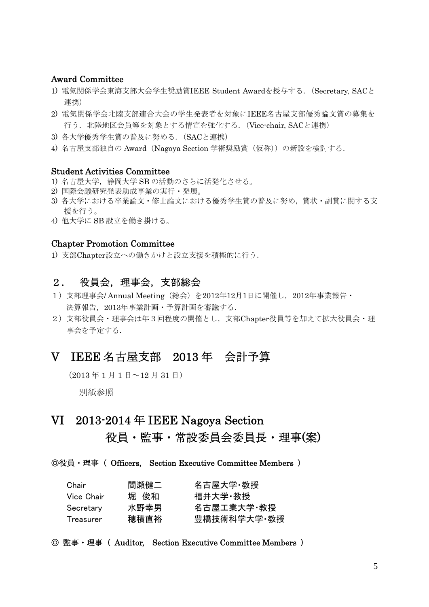#### Award Committee

- 1) 電気関係学会東海支部大会学生奨励賞IEEE Student Awardを授与する.(Secretary, SACと 連携)
- 2) 電気関係学会北陸支部連合大会の学生発表者を対象にIEEE名古屋支部優秀論文賞の募集を 行う. 北陸地区会員等を対象とする情宣を強化する. (Vice-chair, SACと連携)
- 3) 各大学優秀学生賞の普及に努める.(SACと連携)
- 4) 名古屋支部独自の Award(Nagoya Section 学術奨励賞(仮称))の新設を検討する.

#### Student Activities Committee

- 1) 名古屋大学,静岡大学 SB の活動のさらに活発化させる。
- 2) 国際会議研究発表助成事業の実行・発展。
- 3) 各大学における卒業論文・修士論文における優秀学生賞の普及に努め,賞状・副賞に関する支 援を行う。
- 4) 他大学に SB 設立を働き掛ける。

#### Chapter Promotion Committee

1) 支部Chapter設立への働きかけと設立支援を積極的に行う.

# 2. 役員会,理事会,支部総会

- 1) 支部理事会/ Annual Meeting (総会) を2012年12月1日に開催し、2012年事業報告· 決算報告,2013年事業計画・予算計画を審議する.
- 2)支部役員会・理事会は年3回程度の開催とし,支部Chapter役員等を加えて拡大役員会・理 事会を予定する.

# V IEEE 名古屋支部 2013 年 会計予算

 $(2013 \n4 1 4 1 4 \n4 12 4 31 4)$ 

別紙参照

# VI 2013-2014 年 IEEE Nagoya Section

# 役員・監事・常設委員会委員長・理事(案)

◎役員・理事( Officers, Section Executive Committee Members )

| Chair       | 間瀬健二 | 名古屋大学·教授    |
|-------------|------|-------------|
| Vice Chair. | 堀 俊和 | 福井大学 教授     |
| Secretary   | 水野幸男 | 名古屋工業大学・教授  |
| Treasurer   | 穂積直裕 | 豊橋技術科学大学 教授 |

#### ◎ 監事・理事( Auditor, Section Executive Committee Members )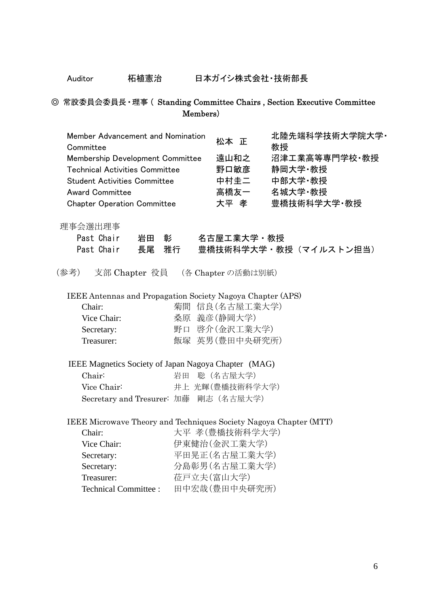Auditor 柘植憲治 日本ガイシ株式会社・技術部長

## ◎ 常設委員会委員長・理事( Standing Committee Chairs , Section Executive Committee Members)

| Member Advancement and Nomination<br>Committee<br>Membership Development Committee<br><b>Technical Activities Committee</b><br><b>Student Activities Committee</b><br><b>Award Committee</b><br><b>Chapter Operation Committee</b> |            | 松本 正<br>遠山和之<br>野口敏彦<br>中村圭二<br>高橋友一<br>大平 孝                                      | 北陸先端科学技術大学院大学·<br>教授<br>沼津工業高等専門学校·教授<br>静岡大学 教授<br>中部大学·教授<br>名城大学 教授<br>豊橋技術科学大学·教授 |
|------------------------------------------------------------------------------------------------------------------------------------------------------------------------------------------------------------------------------------|------------|-----------------------------------------------------------------------------------|---------------------------------------------------------------------------------------|
| 理事会選出理事<br>岩田 彰<br>Past Chair<br>Past Chair<br>長尾 雅行                                                                                                                                                                               |            | 名古屋工業大学・教授                                                                        | 豊橋技術科学大学・教授 (マイルストン担当)                                                                |
| (参考)<br>支部 Chapter 役員 (各 Chapter の活動は別紙)                                                                                                                                                                                           |            |                                                                                   |                                                                                       |
| IEEE Antennas and Propagation Society Nagoya Chapter (APS)<br>Chair:<br>Vice Chair:<br>Secretary:<br>Treasurer:                                                                                                                    |            | 菊間 信良(名古屋工業大学)<br>桑原 義彦(静岡大学)<br>野口 啓介(金沢工業大学)<br>飯塚 英男(豊田中央研究所)                  |                                                                                       |
| IEEE Magnetics Society of Japan Nagoya Chapter (MAG)                                                                                                                                                                               |            |                                                                                   |                                                                                       |
| Chair:                                                                                                                                                                                                                             | 岩田         | 聡 (名古屋大学)                                                                         |                                                                                       |
| Vice Chair:                                                                                                                                                                                                                        |            | 井上 光輝(豊橋技術科学大学)                                                                   |                                                                                       |
| Secretary and Tresurer: 加藤 剛志 (名古屋大学)                                                                                                                                                                                              |            |                                                                                   |                                                                                       |
| IEEE Microwave Theory and Techniques Society Nagoya Chapter (MTT)<br>Chair:<br>Vice Chair:<br>Secretary:<br>Secretary:<br>Treasurer:<br><b>Technical Committee:</b>                                                                | 莅戸立夫(富山大学) | 大平 孝(豊橋技術科学大学)<br>伊東健治(金沢工業大学)<br>平田晃正(名古屋工業大学)<br>分島彰男(名古屋工業大学)<br>田中宏哉(豊田中央研究所) |                                                                                       |
|                                                                                                                                                                                                                                    |            |                                                                                   |                                                                                       |

6